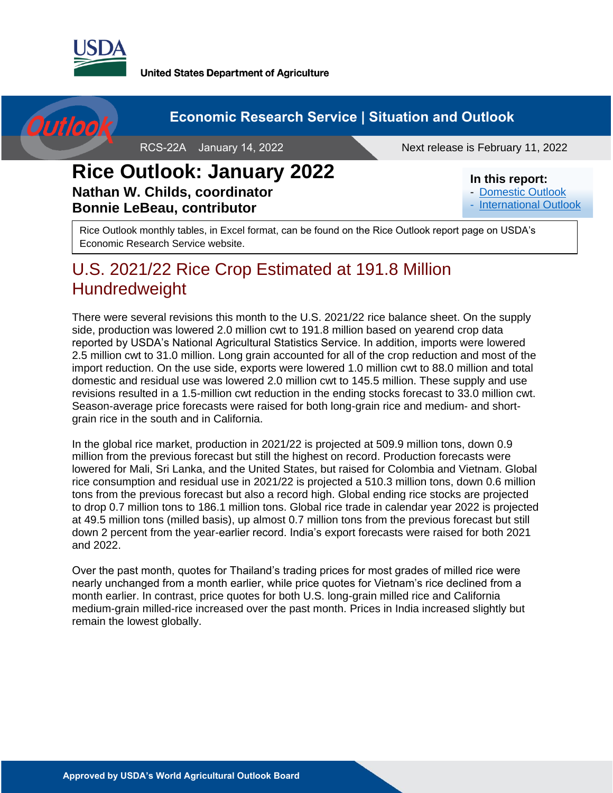

**United States Department of Agriculture** 



### **Rice Outlook: January 2022 Nathan W. Childs, coordinator Bonnie LeBeau, contributor**

#### **In this report:**

- [Domestic Outlook](#page-2-0)
- [International Outlook](#page-9-0)

Rice Outlook monthly tables, in Excel format, can be found on the Rice Outlook report page on USDA's Economic Research Service website.

## U.S. 2021/22 Rice Crop Estimated at 191.8 Million **Hundredweight**

There were several revisions this month to the U.S. 2021/22 rice balance sheet. On the supply side, production was lowered 2.0 million cwt to 191.8 million based on yearend crop data reported by USDA's National Agricultural Statistics Service. In addition, imports were lowered 2.5 million cwt to 31.0 million. Long grain accounted for all of the crop reduction and most of the import reduction. On the use side, exports were lowered 1.0 million cwt to 88.0 million and total domestic and residual use was lowered 2.0 million cwt to 145.5 million. These supply and use revisions resulted in a 1.5-million cwt reduction in the ending stocks forecast to 33.0 million cwt. Season-average price forecasts were raised for both long-grain rice and medium- and shortgrain rice in the south and in California.

In the global rice market, production in 2021/22 is projected at 509.9 million tons, down 0.9 million from the previous forecast but still the highest on record. Production forecasts were lowered for Mali, Sri Lanka, and the United States, but raised for Colombia and Vietnam. Global rice consumption and residual use in 2021/22 is projected a 510.3 million tons, down 0.6 million tons from the previous forecast but also a record high. Global ending rice stocks are projected to drop 0.7 million tons to 186.1 million tons. Global rice trade in calendar year 2022 is projected at 49.5 million tons (milled basis), up almost 0.7 million tons from the previous forecast but still down 2 percent from the year-earlier record. India's export forecasts were raised for both 2021 and 2022.

Over the past month, quotes for Thailand's trading prices for most grades of milled rice were nearly unchanged from a month earlier, while price quotes for Vietnam's rice declined from a month earlier. In contrast, price quotes for both U.S. long-grain milled rice and California medium-grain milled-rice increased over the past month. Prices in India increased slightly but remain the lowest globally.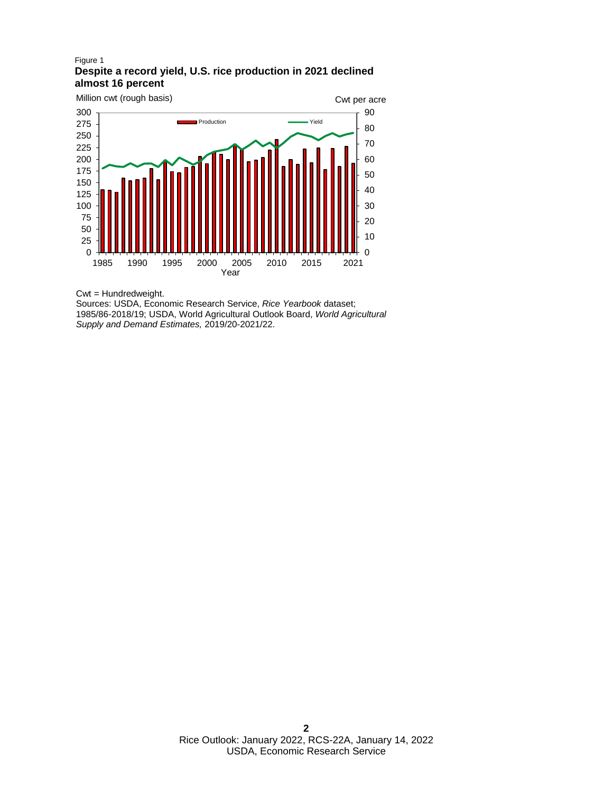#### Figure 1 **Despite a record yield, U.S. rice production in 2021 declined almost 16 percent**



Cwt = Hundredweight.

Sources: USDA, Economic Research Service, *Rice Yearbook* dataset; 1985/86-2018/19; USDA, World Agricultural Outlook Board, *World Agricultural Supply and Demand Estimates,* 2019/20-2021/22.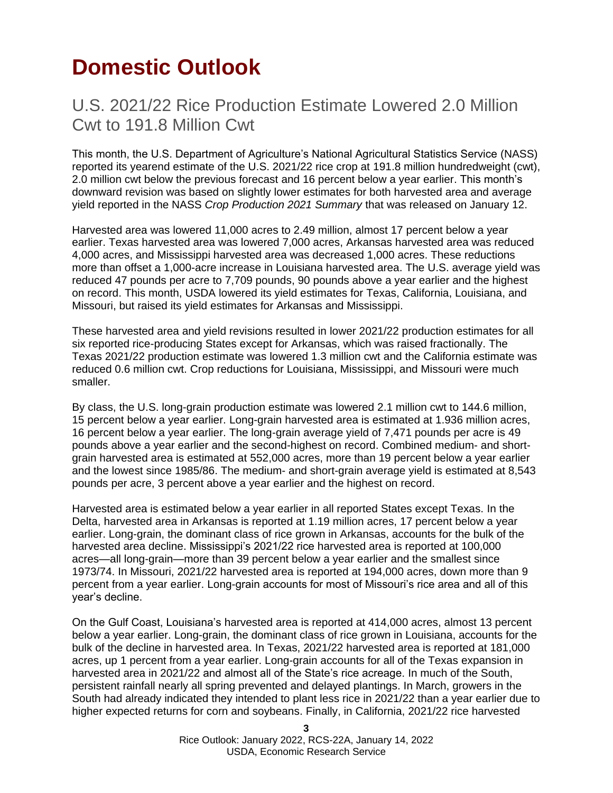# <span id="page-2-0"></span>**Domestic Outlook**

### U.S. 2021/22 Rice Production Estimate Lowered 2.0 Million Cwt to 191.8 Million Cwt

This month, the U.S. Department of Agriculture's National Agricultural Statistics Service (NASS) reported its yearend estimate of the U.S. 2021/22 rice crop at 191.8 million hundredweight (cwt), 2.0 million cwt below the previous forecast and 16 percent below a year earlier. This month's downward revision was based on slightly lower estimates for both harvested area and average yield reported in the NASS *Crop Production 2021 Summary* that was released on January 12.

Harvested area was lowered 11,000 acres to 2.49 million, almost 17 percent below a year earlier. Texas harvested area was lowered 7,000 acres, Arkansas harvested area was reduced 4,000 acres, and Mississippi harvested area was decreased 1,000 acres. These reductions more than offset a 1,000-acre increase in Louisiana harvested area. The U.S. average yield was reduced 47 pounds per acre to 7,709 pounds, 90 pounds above a year earlier and the highest on record. This month, USDA lowered its yield estimates for Texas, California, Louisiana, and Missouri, but raised its yield estimates for Arkansas and Mississippi.

These harvested area and yield revisions resulted in lower 2021/22 production estimates for all six reported rice-producing States except for Arkansas, which was raised fractionally. The Texas 2021/22 production estimate was lowered 1.3 million cwt and the California estimate was reduced 0.6 million cwt. Crop reductions for Louisiana, Mississippi, and Missouri were much smaller.

By class, the U.S. long-grain production estimate was lowered 2.1 million cwt to 144.6 million, 15 percent below a year earlier. Long-grain harvested area is estimated at 1.936 million acres, 16 percent below a year earlier. The long-grain average yield of 7,471 pounds per acre is 49 pounds above a year earlier and the second-highest on record. Combined medium- and shortgrain harvested area is estimated at 552,000 acres, more than 19 percent below a year earlier and the lowest since 1985/86. The medium- and short-grain average yield is estimated at 8,543 pounds per acre, 3 percent above a year earlier and the highest on record.

Harvested area is estimated below a year earlier in all reported States except Texas. In the Delta, harvested area in Arkansas is reported at 1.19 million acres, 17 percent below a year earlier. Long-grain, the dominant class of rice grown in Arkansas, accounts for the bulk of the harvested area decline. Mississippi's 2021/22 rice harvested area is reported at 100,000 acres—all long-grain—more than 39 percent below a year earlier and the smallest since 1973/74. In Missouri, 2021/22 harvested area is reported at 194,000 acres, down more than 9 percent from a year earlier. Long-grain accounts for most of Missouri's rice area and all of this year's decline.

On the Gulf Coast, Louisiana's harvested area is reported at 414,000 acres, almost 13 percent below a year earlier. Long-grain, the dominant class of rice grown in Louisiana, accounts for the bulk of the decline in harvested area. In Texas, 2021/22 harvested area is reported at 181,000 acres, up 1 percent from a year earlier. Long-grain accounts for all of the Texas expansion in harvested area in 2021/22 and almost all of the State's rice acreage. In much of the South, persistent rainfall nearly all spring prevented and delayed plantings. In March, growers in the South had already indicated they intended to plant less rice in 2021/22 than a year earlier due to higher expected returns for corn and soybeans. Finally, in California, 2021/22 rice harvested

> Rice Outlook: January 2022, RCS-22A, January 14, 2022 USDA, Economic Research Service

**3**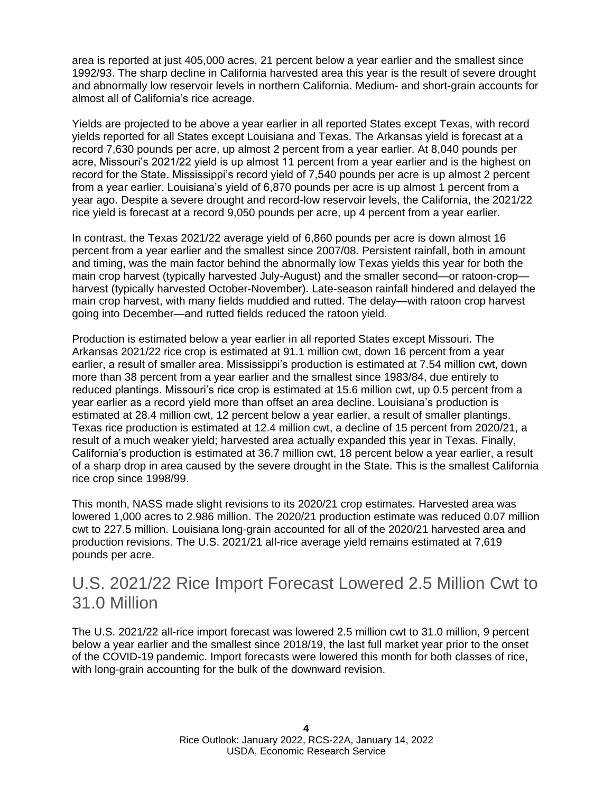area is reported at just 405,000 acres, 21 percent below a year earlier and the smallest since 1992/93. The sharp decline in California harvested area this year is the result of severe drought and abnormally low reservoir levels in northern California. Medium- and short-grain accounts for almost all of California's rice acreage.

Yields are projected to be above a year earlier in all reported States except Texas, with record yields reported for all States except Louisiana and Texas. The Arkansas yield is forecast at a record 7,630 pounds per acre, up almost 2 percent from a year earlier. At 8,040 pounds per acre, Missouri's 2021/22 yield is up almost 11 percent from a year earlier and is the highest on record for the State. Mississippi's record yield of 7,540 pounds per acre is up almost 2 percent from a year earlier. Louisiana's yield of 6,870 pounds per acre is up almost 1 percent from a year ago. Despite a severe drought and record-low reservoir levels, the California, the 2021/22 rice yield is forecast at a record 9,050 pounds per acre, up 4 percent from a year earlier.

In contrast, the Texas 2021/22 average yield of 6,860 pounds per acre is down almost 16 percent from a year earlier and the smallest since 2007/08. Persistent rainfall, both in amount and timing, was the main factor behind the abnormally low Texas yields this year for both the main crop harvest (typically harvested July-August) and the smaller second—or ratoon-crop harvest (typically harvested October-November). Late-season rainfall hindered and delayed the main crop harvest, with many fields muddied and rutted. The delay—with ratoon crop harvest going into December—and rutted fields reduced the ratoon yield.

Production is estimated below a year earlier in all reported States except Missouri. The Arkansas 2021/22 rice crop is estimated at 91.1 million cwt, down 16 percent from a year earlier, a result of smaller area. Mississippi's production is estimated at 7.54 million cwt, down more than 38 percent from a year earlier and the smallest since 1983/84, due entirely to reduced plantings. Missouri's rice crop is estimated at 15.6 million cwt, up 0.5 percent from a year earlier as a record yield more than offset an area decline. Louisiana's production is estimated at 28.4 million cwt, 12 percent below a year earlier, a result of smaller plantings. Texas rice production is estimated at 12.4 million cwt, a decline of 15 percent from 2020/21, a result of a much weaker yield; harvested area actually expanded this year in Texas. Finally, California's production is estimated at 36.7 million cwt, 18 percent below a year earlier, a result of a sharp drop in area caused by the severe drought in the State. This is the smallest California rice crop since 1998/99.

This month, NASS made slight revisions to its 2020/21 crop estimates. Harvested area was lowered 1,000 acres to 2.986 million. The 2020/21 production estimate was reduced 0.07 million cwt to 227.5 million. Louisiana long-grain accounted for all of the 2020/21 harvested area and production revisions. The U.S. 2021/21 all-rice average yield remains estimated at 7,619 pounds per acre.

### U.S. 2021/22 Rice Import Forecast Lowered 2.5 Million Cwt to 31.0 Million

The U.S. 2021/22 all-rice import forecast was lowered 2.5 million cwt to 31.0 million, 9 percent below a year earlier and the smallest since 2018/19, the last full market year prior to the onset of the COVID-19 pandemic. Import forecasts were lowered this month for both classes of rice, with long-grain accounting for the bulk of the downward revision.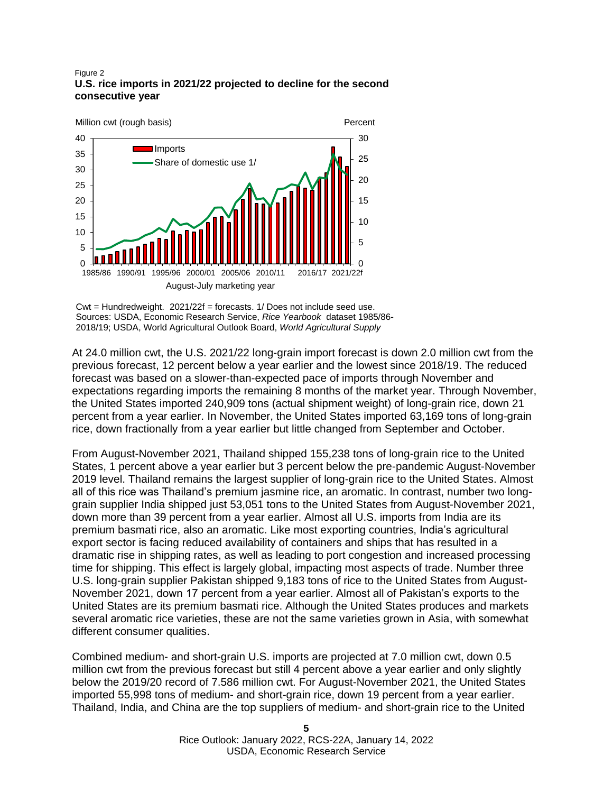#### Figure 2 **U.S. rice imports in 2021/22 projected to decline for the second consecutive year**



Cwt = Hundredweight. 2021/22f = forecasts. 1/ Does not include seed use. Sources: USDA, Economic Research Service, *Rice Yearbook* dataset 1985/86- 2018/19; USDA, World Agricultural Outlook Board, *World Agricultural Supply* 

At 24.0 million cwt, the U.S. 2021/22 long-grain import forecast is down 2.0 million cwt from the previous forecast, 12 percent below a year earlier and the lowest since 2018/19. The reduced forecast was based on a slower-than-expected pace of imports through November and expectations regarding imports the remaining 8 months of the market year. Through November, the United States imported 240,909 tons (actual shipment weight) of long-grain rice, down 21 percent from a year earlier. In November, the United States imported 63,169 tons of long-grain rice, down fractionally from a year earlier but little changed from September and October.

From August-November 2021, Thailand shipped 155,238 tons of long-grain rice to the United States, 1 percent above a year earlier but 3 percent below the pre-pandemic August-November 2019 level. Thailand remains the largest supplier of long-grain rice to the United States. Almost all of this rice was Thailand's premium jasmine rice, an aromatic. In contrast, number two longgrain supplier India shipped just 53,051 tons to the United States from August-November 2021, down more than 39 percent from a year earlier. Almost all U.S. imports from India are its premium basmati rice, also an aromatic. Like most exporting countries, India's agricultural export sector is facing reduced availability of containers and ships that has resulted in a dramatic rise in shipping rates, as well as leading to port congestion and increased processing time for shipping. This effect is largely global, impacting most aspects of trade. Number three U.S. long-grain supplier Pakistan shipped 9,183 tons of rice to the United States from August-November 2021, down 17 percent from a year earlier. Almost all of Pakistan's exports to the United States are its premium basmati rice. Although the United States produces and markets several aromatic rice varieties, these are not the same varieties grown in Asia, with somewhat different consumer qualities.

Combined medium- and short-grain U.S. imports are projected at 7.0 million cwt, down 0.5 million cwt from the previous forecast but still 4 percent above a year earlier and only slightly below the 2019/20 record of 7.586 million cwt. For August-November 2021, the United States imported 55,998 tons of medium- and short-grain rice, down 19 percent from a year earlier. Thailand, India, and China are the top suppliers of medium- and short-grain rice to the United

> Rice Outlook: January 2022, RCS-22A, January 14, 2022 USDA, Economic Research Service

**5**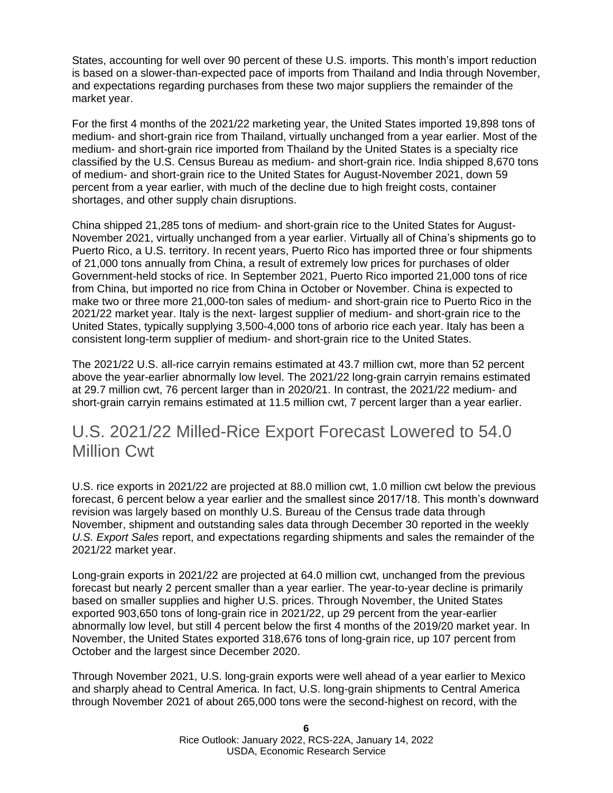States, accounting for well over 90 percent of these U.S. imports. This month's import reduction is based on a slower-than-expected pace of imports from Thailand and India through November, and expectations regarding purchases from these two major suppliers the remainder of the market year.

For the first 4 months of the 2021/22 marketing year, the United States imported 19,898 tons of medium- and short-grain rice from Thailand, virtually unchanged from a year earlier. Most of the medium- and short-grain rice imported from Thailand by the United States is a specialty rice classified by the U.S. Census Bureau as medium- and short-grain rice. India shipped 8,670 tons of medium- and short-grain rice to the United States for August-November 2021, down 59 percent from a year earlier, with much of the decline due to high freight costs, container shortages, and other supply chain disruptions.

China shipped 21,285 tons of medium- and short-grain rice to the United States for August-November 2021, virtually unchanged from a year earlier. Virtually all of China's shipments go to Puerto Rico, a U.S. territory. In recent years, Puerto Rico has imported three or four shipments of 21,000 tons annually from China, a result of extremely low prices for purchases of older Government-held stocks of rice. In September 2021, Puerto Rico imported 21,000 tons of rice from China, but imported no rice from China in October or November. China is expected to make two or three more 21,000-ton sales of medium- and short-grain rice to Puerto Rico in the 2021/22 market year. Italy is the next- largest supplier of medium- and short-grain rice to the United States, typically supplying 3,500-4,000 tons of arborio rice each year. Italy has been a consistent long-term supplier of medium- and short-grain rice to the United States.

The 2021/22 U.S. all-rice carryin remains estimated at 43.7 million cwt, more than 52 percent above the year-earlier abnormally low level. The 2021/22 long-grain carryin remains estimated at 29.7 million cwt, 76 percent larger than in 2020/21. In contrast, the 2021/22 medium- and short-grain carryin remains estimated at 11.5 million cwt, 7 percent larger than a year earlier.

### U.S. 2021/22 Milled-Rice Export Forecast Lowered to 54.0 Million Cwt

U.S. rice exports in 2021/22 are projected at 88.0 million cwt, 1.0 million cwt below the previous forecast, 6 percent below a year earlier and the smallest since 2017/18. This month's downward revision was largely based on monthly U.S. Bureau of the Census trade data through November, shipment and outstanding sales data through December 30 reported in the weekly *U.S. Export Sales* report, and expectations regarding shipments and sales the remainder of the 2021/22 market year.

Long-grain exports in 2021/22 are projected at 64.0 million cwt, unchanged from the previous forecast but nearly 2 percent smaller than a year earlier. The year-to-year decline is primarily based on smaller supplies and higher U.S. prices. Through November, the United States exported 903,650 tons of long-grain rice in 2021/22, up 29 percent from the year-earlier abnormally low level, but still 4 percent below the first 4 months of the 2019/20 market year. In November, the United States exported 318,676 tons of long-grain rice, up 107 percent from October and the largest since December 2020.

Through November 2021, U.S. long-grain exports were well ahead of a year earlier to Mexico and sharply ahead to Central America. In fact, U.S. long-grain shipments to Central America through November 2021 of about 265,000 tons were the second-highest on record, with the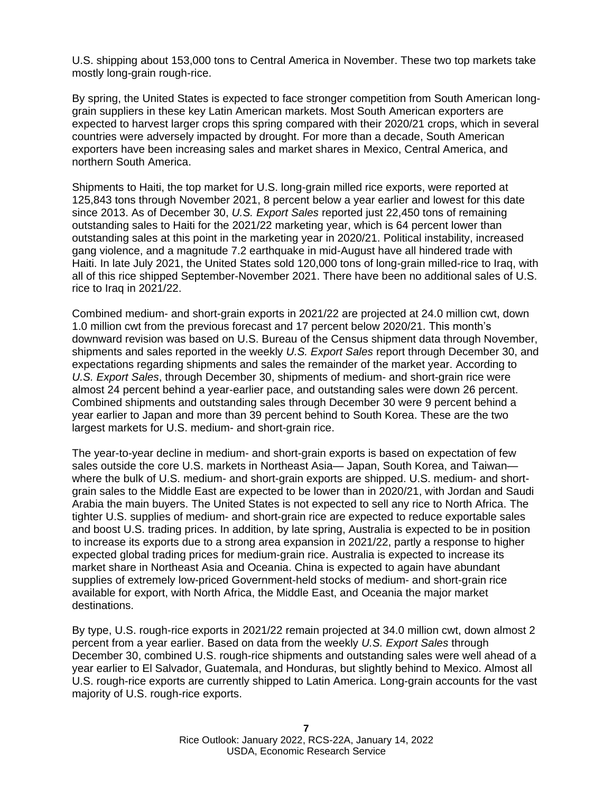U.S. shipping about 153,000 tons to Central America in November. These two top markets take mostly long-grain rough-rice.

By spring, the United States is expected to face stronger competition from South American longgrain suppliers in these key Latin American markets. Most South American exporters are expected to harvest larger crops this spring compared with their 2020/21 crops, which in several countries were adversely impacted by drought. For more than a decade, South American exporters have been increasing sales and market shares in Mexico, Central America, and northern South America.

Shipments to Haiti, the top market for U.S. long-grain milled rice exports, were reported at 125,843 tons through November 2021, 8 percent below a year earlier and lowest for this date since 2013. As of December 30, *U.S. Export Sales* reported just 22,450 tons of remaining outstanding sales to Haiti for the 2021/22 marketing year, which is 64 percent lower than outstanding sales at this point in the marketing year in 2020/21. Political instability, increased gang violence, and a magnitude 7.2 earthquake in mid-August have all hindered trade with Haiti. In late July 2021, the United States sold 120,000 tons of long-grain milled-rice to Iraq, with all of this rice shipped September-November 2021. There have been no additional sales of U.S. rice to Iraq in 2021/22.

Combined medium- and short-grain exports in 2021/22 are projected at 24.0 million cwt, down 1.0 million cwt from the previous forecast and 17 percent below 2020/21. This month's downward revision was based on U.S. Bureau of the Census shipment data through November, shipments and sales reported in the weekly *U.S. Export Sales* report through December 30, and expectations regarding shipments and sales the remainder of the market year. According to *U.S. Export Sales*, through December 30, shipments of medium- and short-grain rice were almost 24 percent behind a year-earlier pace, and outstanding sales were down 26 percent. Combined shipments and outstanding sales through December 30 were 9 percent behind a year earlier to Japan and more than 39 percent behind to South Korea. These are the two largest markets for U.S. medium- and short-grain rice.

The year-to-year decline in medium- and short-grain exports is based on expectation of few sales outside the core U.S. markets in Northeast Asia— Japan, South Korea, and Taiwan where the bulk of U.S. medium- and short-grain exports are shipped. U.S. medium- and shortgrain sales to the Middle East are expected to be lower than in 2020/21, with Jordan and Saudi Arabia the main buyers. The United States is not expected to sell any rice to North Africa. The tighter U.S. supplies of medium- and short-grain rice are expected to reduce exportable sales and boost U.S. trading prices. In addition, by late spring, Australia is expected to be in position to increase its exports due to a strong area expansion in 2021/22, partly a response to higher expected global trading prices for medium-grain rice. Australia is expected to increase its market share in Northeast Asia and Oceania. China is expected to again have abundant supplies of extremely low-priced Government-held stocks of medium- and short-grain rice available for export, with North Africa, the Middle East, and Oceania the major market destinations.

By type, U.S. rough-rice exports in 2021/22 remain projected at 34.0 million cwt, down almost 2 percent from a year earlier. Based on data from the weekly *U.S. Export Sales* through December 30, combined U.S. rough-rice shipments and outstanding sales were well ahead of a year earlier to El Salvador, Guatemala, and Honduras, but slightly behind to Mexico. Almost all U.S. rough-rice exports are currently shipped to Latin America. Long-grain accounts for the vast majority of U.S. rough-rice exports.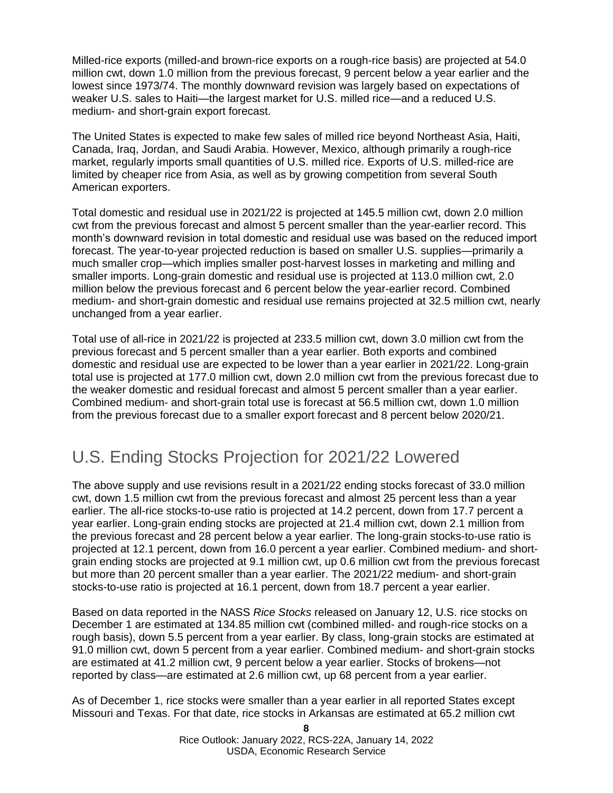Milled-rice exports (milled-and brown-rice exports on a rough-rice basis) are projected at 54.0 million cwt, down 1.0 million from the previous forecast, 9 percent below a year earlier and the lowest since 1973/74. The monthly downward revision was largely based on expectations of weaker U.S. sales to Haiti—the largest market for U.S. milled rice—and a reduced U.S. medium- and short-grain export forecast.

The United States is expected to make few sales of milled rice beyond Northeast Asia, Haiti, Canada, Iraq, Jordan, and Saudi Arabia. However, Mexico, although primarily a rough-rice market, regularly imports small quantities of U.S. milled rice. Exports of U.S. milled-rice are limited by cheaper rice from Asia, as well as by growing competition from several South American exporters.

Total domestic and residual use in 2021/22 is projected at 145.5 million cwt, down 2.0 million cwt from the previous forecast and almost 5 percent smaller than the year-earlier record. This month's downward revision in total domestic and residual use was based on the reduced import forecast. The year-to-year projected reduction is based on smaller U.S. supplies—primarily a much smaller crop—which implies smaller post-harvest losses in marketing and milling and smaller imports. Long-grain domestic and residual use is projected at 113.0 million cwt, 2.0 million below the previous forecast and 6 percent below the year-earlier record. Combined medium- and short-grain domestic and residual use remains projected at 32.5 million cwt, nearly unchanged from a year earlier.

Total use of all-rice in 2021/22 is projected at 233.5 million cwt, down 3.0 million cwt from the previous forecast and 5 percent smaller than a year earlier. Both exports and combined domestic and residual use are expected to be lower than a year earlier in 2021/22. Long-grain total use is projected at 177.0 million cwt, down 2.0 million cwt from the previous forecast due to the weaker domestic and residual forecast and almost 5 percent smaller than a year earlier. Combined medium- and short-grain total use is forecast at 56.5 million cwt, down 1.0 million from the previous forecast due to a smaller export forecast and 8 percent below 2020/21.

### U.S. Ending Stocks Projection for 2021/22 Lowered

The above supply and use revisions result in a 2021/22 ending stocks forecast of 33.0 million cwt, down 1.5 million cwt from the previous forecast and almost 25 percent less than a year earlier. The all-rice stocks-to-use ratio is projected at 14.2 percent, down from 17.7 percent a year earlier. Long-grain ending stocks are projected at 21.4 million cwt, down 2.1 million from the previous forecast and 28 percent below a year earlier. The long-grain stocks-to-use ratio is projected at 12.1 percent, down from 16.0 percent a year earlier. Combined medium- and shortgrain ending stocks are projected at 9.1 million cwt, up 0.6 million cwt from the previous forecast but more than 20 percent smaller than a year earlier. The 2021/22 medium- and short-grain stocks-to-use ratio is projected at 16.1 percent, down from 18.7 percent a year earlier.

Based on data reported in the NASS *Rice Stocks* released on January 12, U.S. rice stocks on December 1 are estimated at 134.85 million cwt (combined milled- and rough-rice stocks on a rough basis), down 5.5 percent from a year earlier. By class, long-grain stocks are estimated at 91.0 million cwt, down 5 percent from a year earlier. Combined medium- and short-grain stocks are estimated at 41.2 million cwt, 9 percent below a year earlier. Stocks of brokens—not reported by class—are estimated at 2.6 million cwt, up 68 percent from a year earlier.

As of December 1, rice stocks were smaller than a year earlier in all reported States except Missouri and Texas. For that date, rice stocks in Arkansas are estimated at 65.2 million cwt

> Rice Outlook: January 2022, RCS-22A, January 14, 2022 USDA, Economic Research Service

**8**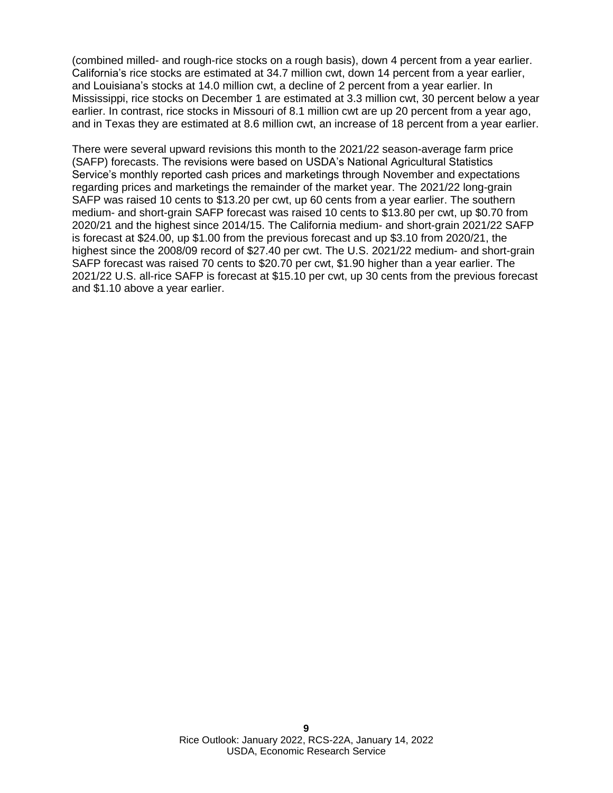(combined milled- and rough-rice stocks on a rough basis), down 4 percent from a year earlier. California's rice stocks are estimated at 34.7 million cwt, down 14 percent from a year earlier, and Louisiana's stocks at 14.0 million cwt, a decline of 2 percent from a year earlier. In Mississippi, rice stocks on December 1 are estimated at 3.3 million cwt, 30 percent below a year earlier. In contrast, rice stocks in Missouri of 8.1 million cwt are up 20 percent from a year ago, and in Texas they are estimated at 8.6 million cwt, an increase of 18 percent from a year earlier.

There were several upward revisions this month to the 2021/22 season-average farm price (SAFP) forecasts. The revisions were based on USDA's National Agricultural Statistics Service's monthly reported cash prices and marketings through November and expectations regarding prices and marketings the remainder of the market year. The 2021/22 long-grain SAFP was raised 10 cents to \$13.20 per cwt, up 60 cents from a year earlier. The southern medium- and short-grain SAFP forecast was raised 10 cents to \$13.80 per cwt, up \$0.70 from 2020/21 and the highest since 2014/15. The California medium- and short-grain 2021/22 SAFP is forecast at \$24.00, up \$1.00 from the previous forecast and up \$3.10 from 2020/21, the highest since the 2008/09 record of \$27.40 per cwt. The U.S. 2021/22 medium- and short-grain SAFP forecast was raised 70 cents to \$20.70 per cwt, \$1.90 higher than a year earlier. The 2021/22 U.S. all-rice SAFP is forecast at \$15.10 per cwt, up 30 cents from the previous forecast and \$1.10 above a year earlier.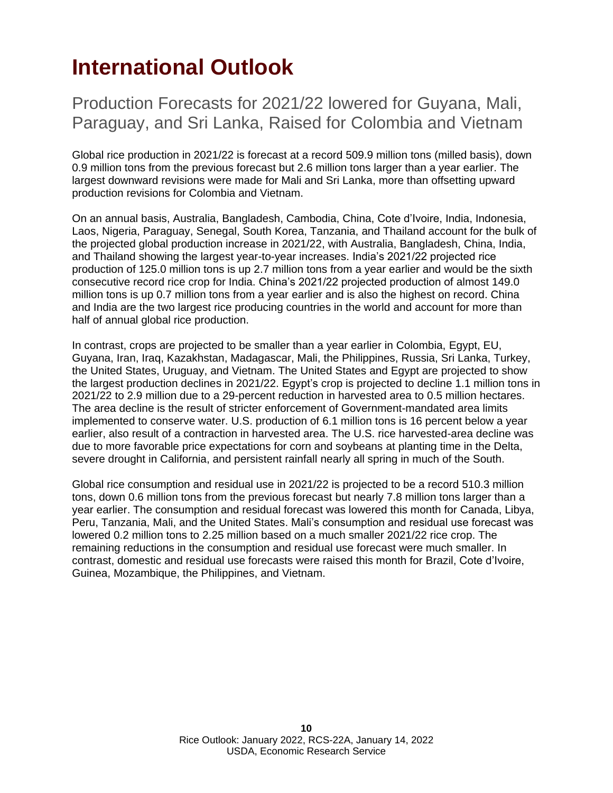# <span id="page-9-0"></span>**International Outlook**

Production Forecasts for 2021/22 lowered for Guyana, Mali, Paraguay, and Sri Lanka, Raised for Colombia and Vietnam

Global rice production in 2021/22 is forecast at a record 509.9 million tons (milled basis), down 0.9 million tons from the previous forecast but 2.6 million tons larger than a year earlier. The largest downward revisions were made for Mali and Sri Lanka, more than offsetting upward production revisions for Colombia and Vietnam.

On an annual basis, Australia, Bangladesh, Cambodia, China, Cote d'Ivoire, India, Indonesia, Laos, Nigeria, Paraguay, Senegal, South Korea, Tanzania, and Thailand account for the bulk of the projected global production increase in 2021/22, with Australia, Bangladesh, China, India, and Thailand showing the largest year-to-year increases. India's 2021/22 projected rice production of 125.0 million tons is up 2.7 million tons from a year earlier and would be the sixth consecutive record rice crop for India. China's 2021/22 projected production of almost 149.0 million tons is up 0.7 million tons from a year earlier and is also the highest on record. China and India are the two largest rice producing countries in the world and account for more than half of annual global rice production.

In contrast, crops are projected to be smaller than a year earlier in Colombia, Egypt, EU, Guyana, Iran, Iraq, Kazakhstan, Madagascar, Mali, the Philippines, Russia, Sri Lanka, Turkey, the United States, Uruguay, and Vietnam. The United States and Egypt are projected to show the largest production declines in 2021/22. Egypt's crop is projected to decline 1.1 million tons in 2021/22 to 2.9 million due to a 29-percent reduction in harvested area to 0.5 million hectares. The area decline is the result of stricter enforcement of Government-mandated area limits implemented to conserve water. U.S. production of 6.1 million tons is 16 percent below a year earlier, also result of a contraction in harvested area. The U.S. rice harvested-area decline was due to more favorable price expectations for corn and soybeans at planting time in the Delta, severe drought in California, and persistent rainfall nearly all spring in much of the South.

Global rice consumption and residual use in 2021/22 is projected to be a record 510.3 million tons, down 0.6 million tons from the previous forecast but nearly 7.8 million tons larger than a year earlier. The consumption and residual forecast was lowered this month for Canada, Libya, Peru, Tanzania, Mali, and the United States. Mali's consumption and residual use forecast was lowered 0.2 million tons to 2.25 million based on a much smaller 2021/22 rice crop. The remaining reductions in the consumption and residual use forecast were much smaller. In contrast, domestic and residual use forecasts were raised this month for Brazil, Cote d'Ivoire, Guinea, Mozambique, the Philippines, and Vietnam.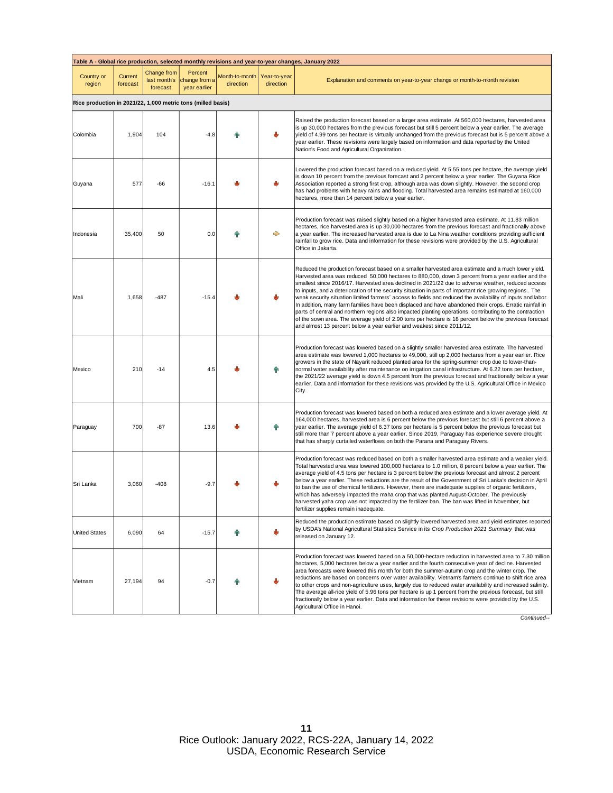| Table A - Global rice production, selected monthly revisions and year-to-year changes, January 2022 |                     |                                         |                                          |                             |                           |                                                                                                                                                                                                                                                                                                                                                                                                                                                                                                                                                                                                                                                                                                                                                                                                                                                                                                                                                  |  |  |
|-----------------------------------------------------------------------------------------------------|---------------------|-----------------------------------------|------------------------------------------|-----------------------------|---------------------------|--------------------------------------------------------------------------------------------------------------------------------------------------------------------------------------------------------------------------------------------------------------------------------------------------------------------------------------------------------------------------------------------------------------------------------------------------------------------------------------------------------------------------------------------------------------------------------------------------------------------------------------------------------------------------------------------------------------------------------------------------------------------------------------------------------------------------------------------------------------------------------------------------------------------------------------------------|--|--|
| Country or<br>region                                                                                | Current<br>forecast | Change from<br>last month's<br>forecast | Percent<br>change from a<br>year earlier | Month-to-month<br>direction | Year-to-year<br>direction | Explanation and comments on year-to-year change or month-to-month revision                                                                                                                                                                                                                                                                                                                                                                                                                                                                                                                                                                                                                                                                                                                                                                                                                                                                       |  |  |
| Rice production in 2021/22, 1,000 metric tons (milled basis)                                        |                     |                                         |                                          |                             |                           |                                                                                                                                                                                                                                                                                                                                                                                                                                                                                                                                                                                                                                                                                                                                                                                                                                                                                                                                                  |  |  |
| Colombia                                                                                            | 1,904               | 104                                     | $-4.8$                                   |                             |                           | Raised the production forecast based on a larger area estimate. At 560,000 hectares, harvested area<br>is up 30,000 hectares from the previous forecast but still 5 percent below a year earlier. The average<br>yield of 4.99 tons per hectare is virtually unchanged from the previous forecast but is 5 percent above a<br>year earlier. These revisions were largely based on information and data reported by the United<br>Nation's Food and Agricultural Organization.                                                                                                                                                                                                                                                                                                                                                                                                                                                                    |  |  |
| Guyana                                                                                              | 577                 | -66                                     | $-16.1$                                  |                             | رال                       | Lowered the production forecast based on a reduced yield. At 5.55 tons per hectare, the average yield<br>is down 10 percent from the previous forecast and 2 percent below a year earlier. The Guyana Rice<br>Association reported a strong first crop, although area was down slightly. However, the second crop<br>has had problems with heavy rains and flooding. Total harvested area remains estimated at 160,000<br>hectares, more than 14 percent below a year earlier.                                                                                                                                                                                                                                                                                                                                                                                                                                                                   |  |  |
| Indonesia                                                                                           | 35,400              | 50                                      | 0.0                                      |                             | ♣                         | Production forecast was raised slightly based on a higher harvested area estimate. At 11.83 million<br>hectares, rice harvested area is up 30,000 hectares from the previous forecast and fractionally above<br>a year earlier. The increased harvested area is due to La Nina weather conditions providing sufficient<br>rainfall to grow rice. Data and information for these revisions were provided by the U.S. Agricultural<br>Office in Jakarta.                                                                                                                                                                                                                                                                                                                                                                                                                                                                                           |  |  |
| Mali                                                                                                | 1,658               | $-487$                                  | $-15.4$                                  |                             |                           | Reduced the production forecast based on a smaller harvested area estimate and a much lower yield.<br>Harvested area was reduced 50,000 hectares to 880,000, down 3 percent from a year earlier and the<br>smallest since 2016/17. Harvested area declined in 2021/22 due to adverse weather, reduced access<br>to inputs, and a deterioration of the security situation in parts of important rice growing regions The<br>weak security situation limited farmers' access to fields and reduced the availability of inputs and labor.<br>In addition, many farm families have been displaced and have abandoned their crops. Erratic rainfall in<br>parts of central and northern regions also impacted planting operations, contributing to the contraction<br>of the sown area. The average yield of 2.90 tons per hectare is 18 percent below the previous forecast<br>and almost 13 percent below a year earlier and weakest since 2011/12. |  |  |
| Mexico                                                                                              | 210                 | $-14$                                   | 4.5                                      |                             |                           | Production forecast was lowered based on a slightly smaller harvested area estimate. The harvested<br>area estimate was lowered 1,000 hectares to 49,000, still up 2,000 hectares from a year earlier. Rice<br>growers in the state of Nayarit reduced planted area for the spring-summer crop due to lower-than-<br>normal water availability after maintenance on irrigation canal infrastructure. At 6.22 tons per hectare,<br>the 2021/22 average yield is down 4.5 percent from the previous forecast and fractionally below a year<br>earlier. Data and information for these revisions was provided by the U.S. Agricultural Office in Mexico<br>City.                                                                                                                                                                                                                                                                                    |  |  |
| Paraguay                                                                                            | 700                 | $-87$                                   | 13.6                                     |                             |                           | Production forecast was lowered based on both a reduced area estimate and a lower average yield. At<br>164,000 hectares, harvested area is 6 percent below the previous forecast but still 6 percent above a<br>year earlier. The average yield of 6.37 tons per hectare is 5 percent below the previous forecast but<br>still more than 7 percent above a year earlier. Since 2019, Paraguay has experience severe drought<br>that has sharply curtailed waterflows on both the Parana and Paraguay Rivers.                                                                                                                                                                                                                                                                                                                                                                                                                                     |  |  |
| Sri Lanka                                                                                           | 3,060               | $-408$                                  | $-9.7$                                   |                             |                           | Production forecast was reduced based on both a smaller harvested area estimate and a weaker yield.<br>Total harvested area was lowered 100,000 hectares to 1.0 million, 8 percent below a year earlier. The<br>average yield of 4.5 tons per hectare is 3 percent below the previous forecast and almost 2 percent<br>below a year earlier. These reductions are the result of the Government of Sri Lanka's decision in April<br>to ban the use of chemical fertilizers. However, there are inadequate supplies of organic fertilizers,<br>which has adversely impacted the maha crop that was planted August-October. The previously<br>harvested yaha crop was not impacted by the fertilizer ban. The ban was lifted in November, but<br>fertilizer supplies remain inadequate.                                                                                                                                                             |  |  |
| <b>United States</b>                                                                                | 6,090               | 64                                      | $-15.7$                                  |                             | J                         | Reduced the production estimate based on slightly lowered harvested area and yield estimates reported<br>by USDA's National Agricultural Statistics Service in its Crop Production 2021 Summary that was<br>released on January 12.                                                                                                                                                                                                                                                                                                                                                                                                                                                                                                                                                                                                                                                                                                              |  |  |
| Vietnam                                                                                             | 27,194              | 94                                      | $-0.7$                                   |                             | J                         | Production forecast was lowered based on a 50,000-hectare reduction in harvested area to 7.30 million<br>hectares, 5,000 hectares below a year earlier and the fourth consecutive year of decline. Harvested<br>area forecasts were lowered this month for both the summer-autumn crop and the winter crop. The<br>reductions are based on concerns over water availability. Vietnam's farmers continue to shift rice area<br>to other crops and non-agriculture uses, largely due to reduced water availability and increased salinity.<br>The average all-rice yield of 5.96 tons per hectare is up 1 percent from the previous forecast, but still<br>fractionally below a year earlier. Data and information for these revisions were provided by the U.S.<br>Agricultural Office in Hanoi.                                                                                                                                                  |  |  |

*Continued--*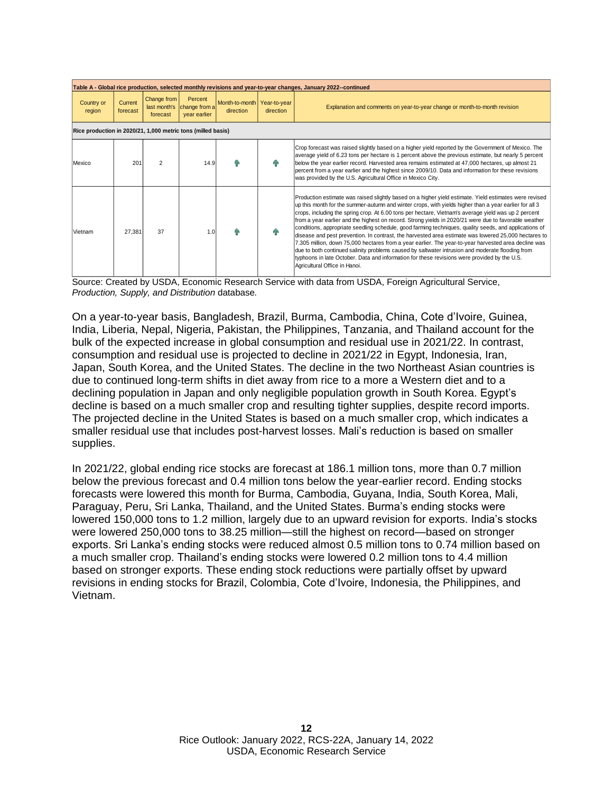| Table A - Global rice production, selected monthly revisions and year-to-year changes, January 2022--continued |                     |                                         |                                          |                                            |           |                                                                                                                                                                                                                                                                                                                                                                                                                                                                                                                                                                                                                                                                                                                                                                                                                                                                                                                                                                                                  |  |  |  |
|----------------------------------------------------------------------------------------------------------------|---------------------|-----------------------------------------|------------------------------------------|--------------------------------------------|-----------|--------------------------------------------------------------------------------------------------------------------------------------------------------------------------------------------------------------------------------------------------------------------------------------------------------------------------------------------------------------------------------------------------------------------------------------------------------------------------------------------------------------------------------------------------------------------------------------------------------------------------------------------------------------------------------------------------------------------------------------------------------------------------------------------------------------------------------------------------------------------------------------------------------------------------------------------------------------------------------------------------|--|--|--|
| Country or<br>region                                                                                           | Current<br>forecast | Change from<br>last month's<br>forecast | Percent<br>change from a<br>year earlier | Month-to-month   Year-to-year<br>direction | direction | Explanation and comments on year-to-year change or month-to-month revision                                                                                                                                                                                                                                                                                                                                                                                                                                                                                                                                                                                                                                                                                                                                                                                                                                                                                                                       |  |  |  |
| Rice production in 2020/21, 1,000 metric tons (milled basis)                                                   |                     |                                         |                                          |                                            |           |                                                                                                                                                                                                                                                                                                                                                                                                                                                                                                                                                                                                                                                                                                                                                                                                                                                                                                                                                                                                  |  |  |  |
| Mexico                                                                                                         | 201                 | $\mathcal{P}$                           | 14.9                                     |                                            | ЙN        | Crop forecast was raised slightly based on a higher yield reported by the Government of Mexico. The<br>average yield of 6.23 tons per hectare is 1 percent above the previous estimate, but nearly 5 percent<br>below the year earlier record. Harvested area remains estimated at 47,000 hectares, up almost 21<br>percent from a year earlier and the highest since 2009/10. Data and information for these revisions<br>was provided by the U.S. Agricultural Office in Mexico City.                                                                                                                                                                                                                                                                                                                                                                                                                                                                                                          |  |  |  |
| Vietnam                                                                                                        | 27.381              | 37                                      | 1.0                                      |                                            |           | Production estimate was raised slightly based on a higher yield estimate. Yield estimates were revised<br>up this month for the summer-autumn and winter crops, with yields higher than a year earlier for all 3<br>crops, including the spring crop. At 6.00 tons per hectare, Vietnam's average yield was up 2 percent<br>from a year earlier and the highest on record. Strong yields in 2020/21 were due to favorable weather<br>conditions, appropriate seedling schedule, good farming techniques, quality seeds, and applications of<br>disease and pest prevention. In contrast, the harvested area estimate was lowered 25,000 hectares to<br>7.305 million, down 75,000 hectares from a year earlier. The year-to-year harvested area decline was<br>due to both continued salinity problems caused by saltwater intrusion and moderate flooding from<br>typhoons in late October. Data and information for these revisions were provided by the U.S.<br>Agricultural Office in Hanoi. |  |  |  |

Source: Created by USDA, Economic Research Service with data from USDA, Foreign Agricultural Service, *Production, Supply, and Distribution* database*.*

On a year-to-year basis, Bangladesh, Brazil, Burma, Cambodia, China, Cote d'Ivoire, Guinea, India, Liberia, Nepal, Nigeria, Pakistan, the Philippines, Tanzania, and Thailand account for the bulk of the expected increase in global consumption and residual use in 2021/22. In contrast, consumption and residual use is projected to decline in 2021/22 in Egypt, Indonesia, Iran, Japan, South Korea, and the United States. The decline in the two Northeast Asian countries is due to continued long-term shifts in diet away from rice to a more a Western diet and to a declining population in Japan and only negligible population growth in South Korea. Egypt's decline is based on a much smaller crop and resulting tighter supplies, despite record imports. The projected decline in the United States is based on a much smaller crop, which indicates a smaller residual use that includes post-harvest losses. Mali's reduction is based on smaller supplies.

In 2021/22, global ending rice stocks are forecast at 186.1 million tons, more than 0.7 million below the previous forecast and 0.4 million tons below the year-earlier record. Ending stocks forecasts were lowered this month for Burma, Cambodia, Guyana, India, South Korea, Mali, Paraguay, Peru, Sri Lanka, Thailand, and the United States. Burma's ending stocks were lowered 150,000 tons to 1.2 million, largely due to an upward revision for exports. India's stocks were lowered 250,000 tons to 38.25 million—still the highest on record—based on stronger exports. Sri Lanka's ending stocks were reduced almost 0.5 million tons to 0.74 million based on a much smaller crop. Thailand's ending stocks were lowered 0.2 million tons to 4.4 million based on stronger exports. These ending stock reductions were partially offset by upward revisions in ending stocks for Brazil, Colombia, Cote d'Ivoire, Indonesia, the Philippines, and Vietnam.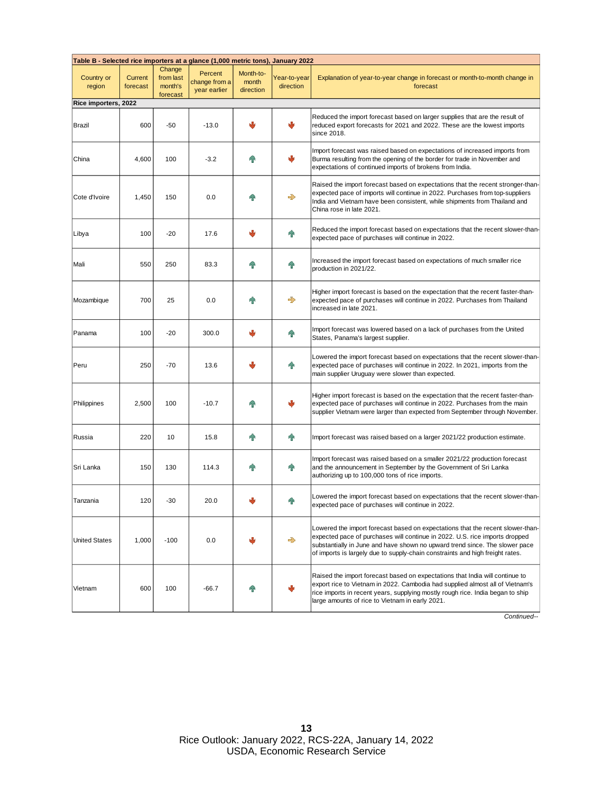| Table B - Selected rice importers at a glance (1,000 metric tons), January 2022 |                            |                                            |                                          |                                 |                           |                                                                                                                                                                                                                                                                                                                               |  |  |
|---------------------------------------------------------------------------------|----------------------------|--------------------------------------------|------------------------------------------|---------------------------------|---------------------------|-------------------------------------------------------------------------------------------------------------------------------------------------------------------------------------------------------------------------------------------------------------------------------------------------------------------------------|--|--|
| Country or<br>region                                                            | <b>Current</b><br>forecast | Change<br>from last<br>month's<br>forecast | Percent<br>change from a<br>year earlier | Month-to-<br>month<br>direction | Year-to-year<br>direction | Explanation of year-to-year change in forecast or month-to-month change in<br>forecast                                                                                                                                                                                                                                        |  |  |
| Rice importers, 2022                                                            |                            |                                            |                                          |                                 |                           |                                                                                                                                                                                                                                                                                                                               |  |  |
| Brazil                                                                          | 600                        | $-50$                                      | $-13.0$                                  | л                               | رال                       | Reduced the import forecast based on larger supplies that are the result of<br>reduced export forecasts for 2021 and 2022. These are the lowest imports<br>since 2018.                                                                                                                                                        |  |  |
| China                                                                           | 4,600                      | 100                                        | $-3.2$                                   |                                 |                           | Import forecast was raised based on expectations of increased imports from<br>Burma resulting from the opening of the border for trade in November and<br>expectations of continued imports of brokens from India.                                                                                                            |  |  |
| Cote d'Ivoire                                                                   | 1,450                      | 150                                        | 0.0                                      |                                 | 戈                         | Raised the import forecast based on expectations that the recent stronger-than-<br>expected pace of imports will continue in 2022. Purchases from top-suppliers<br>India and Vietnam have been consistent, while shipments from Thailand and<br>China rose in late 2021.                                                      |  |  |
| Libya                                                                           | 100                        | $-20$                                      | 17.6                                     |                                 | ⋒                         | Reduced the import forecast based on expectations that the recent slower-than-<br>expected pace of purchases will continue in 2022.                                                                                                                                                                                           |  |  |
| Mali                                                                            | 550                        | 250                                        | 83.3                                     |                                 | 4                         | Increased the import forecast based on expectations of much smaller rice<br>production in 2021/22.                                                                                                                                                                                                                            |  |  |
| Mozambique                                                                      | 700                        | 25                                         | 0.0                                      |                                 | 戈                         | Higher import forecast is based on the expectation that the recent faster-than-<br>expected pace of purchases will continue in 2022. Purchases from Thailand<br>increased in late 2021.                                                                                                                                       |  |  |
| Panama                                                                          | 100                        | $-20$                                      | 300.0                                    |                                 | 仆                         | Import forecast was lowered based on a lack of purchases from the United<br>States, Panama's largest supplier.                                                                                                                                                                                                                |  |  |
| Peru                                                                            | 250                        | $-70$                                      | 13.6                                     |                                 | 48                        | -owered the import forecast based on expectations that the recent slower-than-<br>expected pace of purchases will continue in 2022. In 2021, imports from the<br>main supplier Uruguay were slower than expected.                                                                                                             |  |  |
| Philippines                                                                     | 2,500                      | 100                                        | $-10.7$                                  |                                 |                           | Higher import forecast is based on the expectation that the recent faster-than-<br>expected pace of purchases will continue in 2022. Purchases from the main<br>supplier Vietnam were larger than expected from September through November.                                                                                   |  |  |
| Russia                                                                          | 220                        | 10                                         | 15.8                                     | 4                               | $\mathbf{P}$              | Import forecast was raised based on a larger 2021/22 production estimate.                                                                                                                                                                                                                                                     |  |  |
| Sri Lanka                                                                       | 150                        | 130                                        | 114.3                                    | 4                               | <b>AP</b>                 | Import forecast was raised based on a smaller 2021/22 production forecast<br>and the announcement in September by the Government of Sri Lanka<br>authorizing up to 100,000 tons of rice imports.                                                                                                                              |  |  |
| Tanzania                                                                        | 120                        | $-30$                                      | 20.0                                     |                                 | ЙN                        | Lowered the import forecast based on expectations that the recent slower-than-<br>expected pace of purchases will continue in 2022.                                                                                                                                                                                           |  |  |
| <b>United States</b>                                                            | 1,000                      | $-100$                                     | 0.0                                      |                                 | $\Rightarrow$             | Lowered the import forecast based on expectations that the recent slower-than-<br>expected pace of purchases will continue in 2022. U.S. rice imports dropped<br>substantially in June and have shown no upward trend since. The slower pace<br>of imports is largely due to supply-chain constraints and high freight rates. |  |  |
| Vietnam                                                                         | 600                        | 100                                        | $-66.7$                                  |                                 |                           | Raised the import forecast based on expectations that India will continue to<br>export rice to Vietnam in 2022. Cambodia had supplied almost all of Vietnam's<br>rice imports in recent years, supplying mostly rough rice. India began to ship<br>large amounts of rice to Vietnam in early 2021.                            |  |  |

*Continued--*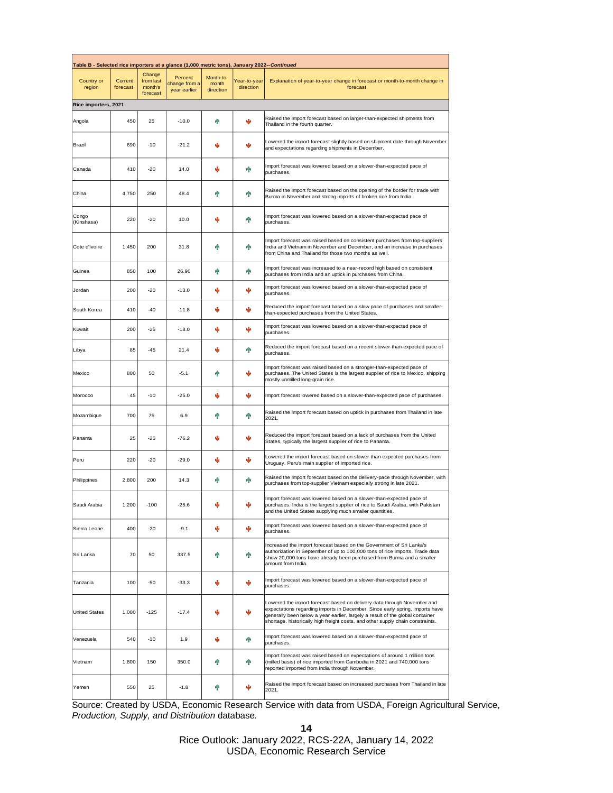| Table B - Selected rice importers at a glance (1,000 metric tons), January 2022-- Continued |                     |                                            |                                          |                                 |                           |                                                                                                                                                                                                                                                                                                                            |  |  |
|---------------------------------------------------------------------------------------------|---------------------|--------------------------------------------|------------------------------------------|---------------------------------|---------------------------|----------------------------------------------------------------------------------------------------------------------------------------------------------------------------------------------------------------------------------------------------------------------------------------------------------------------------|--|--|
| Country or<br>region                                                                        | Current<br>forecast | Change<br>from last<br>month's<br>forecast | Percent<br>change from a<br>year earlier | Month-to-<br>month<br>direction | Year-to-year<br>direction | Explanation of year-to-year change in forecast or month-to-month change in<br>forecast                                                                                                                                                                                                                                     |  |  |
| Rice importers, 2021                                                                        |                     |                                            |                                          |                                 |                           |                                                                                                                                                                                                                                                                                                                            |  |  |
| Angola                                                                                      | 450                 | 25                                         | $-10.0$                                  | h P                             | Ψ                         | Raised the import forecast based on larger-than-expected shipments from<br>Thailand in the fourth quarter.                                                                                                                                                                                                                 |  |  |
| Brazil                                                                                      | 690                 | $-10$                                      | $-21.2$                                  |                                 |                           | Lowered the import forecast slightly based on shipment date through November<br>and expectations regarding shipments in December.                                                                                                                                                                                          |  |  |
| Canada                                                                                      | 410                 | $-20$                                      | 14.0                                     | J                               | ଳ                         | Import forecast was lowered based on a slower-than-expected pace of<br>purchases.                                                                                                                                                                                                                                          |  |  |
| China                                                                                       | 4,750               | 250                                        | 48.4                                     | 48                              | ጡ                         | Raised the import forecast based on the opening of the border for trade with<br>Burma in November and strong imports of broken rice from India.                                                                                                                                                                            |  |  |
| Congo<br>(Kinshasa)                                                                         | 220                 | $-20$                                      | 10.0                                     |                                 | ጡ                         | Import forecast was lowered based on a slower-than-expected pace of<br>purchases.                                                                                                                                                                                                                                          |  |  |
| Cote d'Ivoire                                                                               | 1,450               | 200                                        | 31.8                                     |                                 | ଳ                         | Import forecast was raised based on consistent purchases from top-suppliers<br>India and Vietnam in November and December, and an increase in purchases<br>from China and Thailand for those two months as well.                                                                                                           |  |  |
| Guinea                                                                                      | 850                 | 100                                        | 26.90                                    | 48                              | ጭ                         | Import forecast was increased to a near-record high based on consistent<br>purchases from India and an uptick in purchases from China.                                                                                                                                                                                     |  |  |
| Jordan                                                                                      | 200                 | $-20$                                      | $-13.0$                                  |                                 | ٠b                        | Import forecast was lowered based on a slower-than-expected pace of<br>purchases.                                                                                                                                                                                                                                          |  |  |
| South Korea                                                                                 | 410                 | $-40$                                      | $-11.8$                                  |                                 |                           | Reduced the import forecast based on a slow pace of purchases and smaller-<br>than-expected purchases from the United States.                                                                                                                                                                                              |  |  |
| Kuwait                                                                                      | 200                 | $-25$                                      | $-18.0$                                  |                                 | Ψ                         | Import forecast was lowered based on a slower-than-expected pace of<br>purchases.                                                                                                                                                                                                                                          |  |  |
| Libya                                                                                       | 85                  | $-45$                                      | 21.4                                     |                                 | ጭ                         | Reduced the import forecast based on a recent slower-than-expected pace of<br>purchases.                                                                                                                                                                                                                                   |  |  |
| Mexico                                                                                      | 800                 | 50                                         | $-5.1$                                   | 48                              |                           | Import forecast was raised based on a stronger-than-expected pace of<br>purchases. The United States is the largest supplier of rice to Mexico, shipping<br>mostly unmilled long-grain rice.                                                                                                                               |  |  |
| Morocco                                                                                     | 45                  | $-10$                                      | $-25.0$                                  | Φ                               | Ψ                         | Import forecast lowered based on a slower-than-expected pace of purchases.                                                                                                                                                                                                                                                 |  |  |
| Mozambique                                                                                  | 700                 | 75                                         | 6.9                                      | 48                              | h۳                        | Raised the import forecast based on uptick in purchases from Thailand in late<br>2021.                                                                                                                                                                                                                                     |  |  |
| Panama                                                                                      | 25                  | $-25$                                      | $-76.2$                                  |                                 |                           | Reduced the import forecast based on a lack of purchases from the United<br>States, typically the largest supplier of rice to Panama.                                                                                                                                                                                      |  |  |
| Peru                                                                                        | 220                 | $-20$                                      | $-29.0$                                  |                                 |                           | Lowered the import forecast based on slower-than-expected purchases from<br>Uruguay, Peru's main supplier of imported rice.                                                                                                                                                                                                |  |  |
| Philippines                                                                                 | 2,800               | 200                                        | 14.3                                     | 48                              | 4Ъ                        | Raised the import forecast based on the delivery-pace through November, with<br>purchases from top-supplier Vietnam especially strong in late 2021.                                                                                                                                                                        |  |  |
| Saudi Arabia                                                                                | 1,200               | -100                                       | -25.6                                    |                                 |                           | Import forecast was lowered based on a slower-than-expected pace of<br>purchases. India is the largest supplier of rice to Saudi Arabia, with Pakistan<br>and the United States supplying much smaller quantities.                                                                                                         |  |  |
| Sierra Leone                                                                                | 400                 | $-20$                                      | $-9.1$                                   | ⊕                               | ψ                         | Import forecast was lowered based on a slower-than-expected pace of<br>purchases.                                                                                                                                                                                                                                          |  |  |
| Sri Lanka                                                                                   | 70                  | 50                                         | 337.5                                    | 48                              | 介                         | Increased the import forecast based on the Government of Sri Lanka's<br>authorization in September of up to 100,000 tons of rice imports. Trade data<br>show 20,000 tons have already been purchased from Burma and a smaller<br>amount from India.                                                                        |  |  |
| Tanzania                                                                                    | 100                 | $-50$                                      | $-33.3$                                  | ⊕                               | ψ                         | Import forecast was lowered based on a slower-than-expected pace of<br>purchases.                                                                                                                                                                                                                                          |  |  |
| <b>United States</b>                                                                        | 1,000               | $-125$                                     | $-17.4$                                  | J                               | ψ                         | Lowered the import forecast based on delivery data through November and<br>expectations regarding imports in December. Since early spring, imports have<br>generally been below a year earlier, largely a result of the global container<br>shortage, historically high freight costs, and other supply chain constraints. |  |  |
| Venezuela                                                                                   | 540                 | $-10$                                      | 1.9                                      | ⊕                               | ଳ                         | Import forecast was lowered based on a slower-than-expected pace of<br>purchases.                                                                                                                                                                                                                                          |  |  |
| Vietnam                                                                                     | 1,800               | 150                                        | 350.0                                    | 41                              | 介                         | Import forecast was raised based on expectations of around 1 million tons<br>(milled basis) of rice imported from Cambodia in 2021 and 740,000 tons<br>reported imported from India through November.                                                                                                                      |  |  |
| Yemen                                                                                       | 550                 | 25                                         | $-1.8$                                   | 41                              | Ψ                         | Raised the import forecast based on increased purchases from Thailand in late<br>2021.                                                                                                                                                                                                                                     |  |  |

Source: Created by USDA, Economic Research Service with data from USDA, Foreign Agricultural Service, *Production, Supply, and Distribution* database*.*

**14**

Rice Outlook: January 2022, RCS-22A, January 14, 2022 USDA, Economic Research Service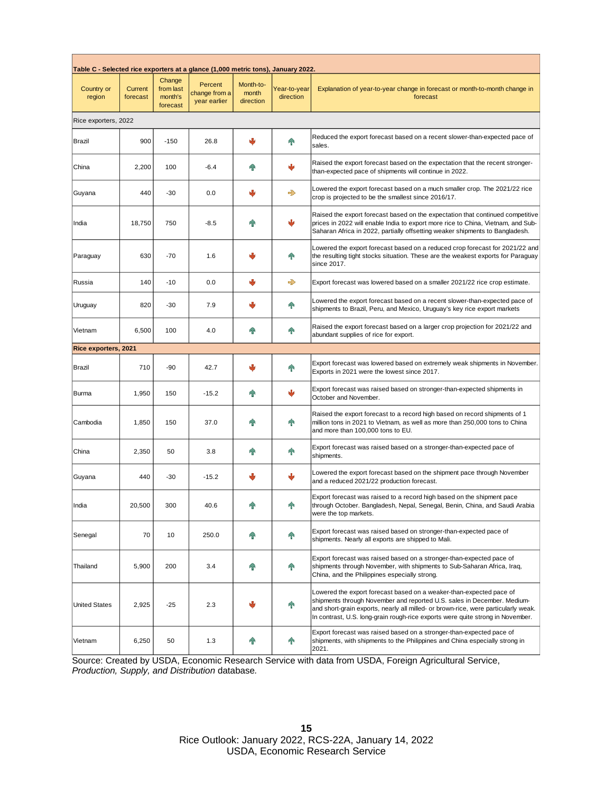| Table C - Selected rice exporters at a glance (1,000 metric tons), January 2022. |                     |                                            |                                          |                                 |                           |                                                                                                                                                                                                                                                                                                                        |  |  |  |
|----------------------------------------------------------------------------------|---------------------|--------------------------------------------|------------------------------------------|---------------------------------|---------------------------|------------------------------------------------------------------------------------------------------------------------------------------------------------------------------------------------------------------------------------------------------------------------------------------------------------------------|--|--|--|
| Country or<br>region                                                             | Current<br>forecast | Change<br>from last<br>month's<br>forecast | Percent<br>change from a<br>year earlier | Month-to-<br>month<br>direction | Year-to-year<br>direction | Explanation of year-to-year change in forecast or month-to-month change in<br>forecast                                                                                                                                                                                                                                 |  |  |  |
| Rice exporters, 2022                                                             |                     |                                            |                                          |                                 |                           |                                                                                                                                                                                                                                                                                                                        |  |  |  |
| Brazil                                                                           | 900                 | $-150$                                     | 26.8                                     | ψ                               | $\mathbf{r}$              | Reduced the export forecast based on a recent slower-than-expected pace of<br>sales.                                                                                                                                                                                                                                   |  |  |  |
| China                                                                            | 2,200               | 100                                        | $-6.4$                                   |                                 |                           | Raised the export forecast based on the expectation that the recent stronger-<br>than-expected pace of shipments will continue in 2022.                                                                                                                                                                                |  |  |  |
| Guyana                                                                           | 440                 | $-30$                                      | 0.0                                      |                                 | ♣                         | Lowered the export forecast based on a much smaller crop. The 2021/22 rice<br>crop is projected to be the smallest since 2016/17.                                                                                                                                                                                      |  |  |  |
| India                                                                            | 18,750              | 750                                        | $-8.5$                                   |                                 | رال                       | Raised the export forecast based on the expectation that continued competitive<br>prices in 2022 will enable India to export more rice to China, Vietnam, and Sub-<br>Saharan Africa in 2022, partially offsetting weaker shipments to Bangladesh.                                                                     |  |  |  |
| Paraguay                                                                         | 630                 | $-70$                                      | 1.6                                      |                                 | 暈                         | Lowered the export forecast based on a reduced crop forecast for 2021/22 and<br>the resulting tight stocks situation. These are the weakest exports for Paraguay<br>since 2017.                                                                                                                                        |  |  |  |
| Russia                                                                           | 140                 | $-10$                                      | 0.0                                      | J                               | ⇛                         | Export forecast was lowered based on a smaller 2021/22 rice crop estimate.                                                                                                                                                                                                                                             |  |  |  |
| Uruguay                                                                          | 820                 | $-30$                                      | 7.9                                      |                                 | $\mathbf{r}$              | Lowered the export forecast based on a recent slower-than-expected pace of<br>shipments to Brazil, Peru, and Mexico, Uruguay's key rice export markets                                                                                                                                                                 |  |  |  |
| Vietnam                                                                          | 6,500               | 100                                        | 4.0                                      |                                 | $\mathbf{r}$              | Raised the export forecast based on a larger crop projection for 2021/22 and<br>abundant supplies of rice for export.                                                                                                                                                                                                  |  |  |  |
| Rice exporters, 2021                                                             |                     |                                            |                                          |                                 |                           |                                                                                                                                                                                                                                                                                                                        |  |  |  |
| Brazil                                                                           | 710                 | -90                                        | 42.7                                     |                                 | $\mathbf{r}$              | Export forecast was lowered based on extremely weak shipments in November.<br>Exports in 2021 were the lowest since 2017.                                                                                                                                                                                              |  |  |  |
| Burma                                                                            | 1,950               | 150                                        | $-15.2$                                  | Ŧ                               | ψ                         | Export forecast was raised based on stronger-than-expected shipments in<br>October and November.                                                                                                                                                                                                                       |  |  |  |
| Cambodia                                                                         | 1,850               | 150                                        | 37.0                                     |                                 | 仆                         | Raised the export forecast to a record high based on record shipments of 1<br>million tons in 2021 to Vietnam, as well as more than 250,000 tons to China<br>and more than 100,000 tons to EU.                                                                                                                         |  |  |  |
| China                                                                            | 2,350               | 50                                         | 3.8                                      |                                 | $\mathbf{P}$              | Export forecast was raised based on a stronger-than-expected pace of<br>shipments.                                                                                                                                                                                                                                     |  |  |  |
| Guyana                                                                           | 440                 | -30                                        | $-15.2$                                  | Ψ                               |                           | Lowered the export forecast based on the shipment pace through November<br>and a reduced 2021/22 production forecast.                                                                                                                                                                                                  |  |  |  |
| India                                                                            | 20,500              | 300                                        | 40.6                                     |                                 |                           | Export forecast was raised to a record high based on the shipment pace<br>through October. Bangladesh, Nepal, Senegal, Benin, China, and Saudi Arabia<br>were the top markets.                                                                                                                                         |  |  |  |
| Senegal                                                                          | 70                  | 10                                         | 250.0                                    |                                 | h.                        | Export forecast was raised based on stronger-than-expected pace of<br>shipments. Nearly all exports are shipped to Mali.                                                                                                                                                                                               |  |  |  |
| Thailand                                                                         | 5,900               | 200                                        | 3.4                                      | Ŧ                               | $\mathbf{r}$              | Export forecast was raised based on a stronger-than-expected pace of<br>shipments through November, with shipments to Sub-Saharan Africa, Iraq,<br>China, and the Philippines especially strong.                                                                                                                       |  |  |  |
| <b>United States</b>                                                             | 2,925               | $-25$                                      | 2.3                                      |                                 | 暈                         | Lowered the export forecast based on a weaker-than-expected pace of<br>shipments through November and reported U.S. sales in December. Medium-<br>and short-grain exports, nearly all milled- or brown-rice, were particularly weak.<br>In contrast, U.S. long-grain rough-rice exports were quite strong in November. |  |  |  |
| Vietnam                                                                          | 6,250               | 50                                         | 1.3                                      | Ŧ                               | T                         | Export forecast was raised based on a stronger-than-expected pace of<br>shipments, with shipments to the Philippines and China especially strong in<br>2021.                                                                                                                                                           |  |  |  |

Source: Created by USDA, Economic Research Service with data from USDA, Foreign Agricultural Service, *Production, Supply, and Distribution* database*.*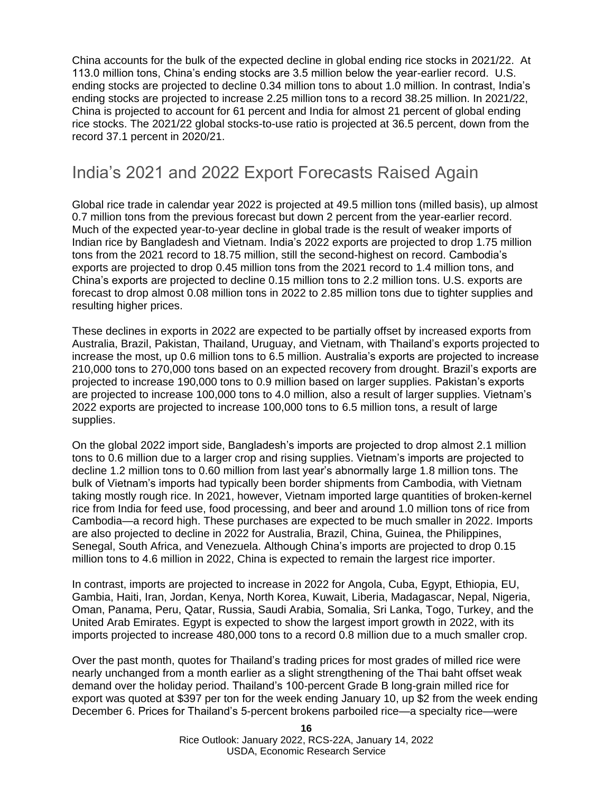China accounts for the bulk of the expected decline in global ending rice stocks in 2021/22. At 113.0 million tons, China's ending stocks are 3.5 million below the year-earlier record. U.S. ending stocks are projected to decline 0.34 million tons to about 1.0 million. In contrast, India's ending stocks are projected to increase 2.25 million tons to a record 38.25 million. In 2021/22, China is projected to account for 61 percent and India for almost 21 percent of global ending rice stocks. The 2021/22 global stocks-to-use ratio is projected at 36.5 percent, down from the record 37.1 percent in 2020/21.

### India's 2021 and 2022 Export Forecasts Raised Again

Global rice trade in calendar year 2022 is projected at 49.5 million tons (milled basis), up almost 0.7 million tons from the previous forecast but down 2 percent from the year-earlier record. Much of the expected year-to-year decline in global trade is the result of weaker imports of Indian rice by Bangladesh and Vietnam. India's 2022 exports are projected to drop 1.75 million tons from the 2021 record to 18.75 million, still the second-highest on record. Cambodia's exports are projected to drop 0.45 million tons from the 2021 record to 1.4 million tons, and China's exports are projected to decline 0.15 million tons to 2.2 million tons. U.S. exports are forecast to drop almost 0.08 million tons in 2022 to 2.85 million tons due to tighter supplies and resulting higher prices.

These declines in exports in 2022 are expected to be partially offset by increased exports from Australia, Brazil, Pakistan, Thailand, Uruguay, and Vietnam, with Thailand's exports projected to increase the most, up 0.6 million tons to 6.5 million. Australia's exports are projected to increase 210,000 tons to 270,000 tons based on an expected recovery from drought. Brazil's exports are projected to increase 190,000 tons to 0.9 million based on larger supplies. Pakistan's exports are projected to increase 100,000 tons to 4.0 million, also a result of larger supplies. Vietnam's 2022 exports are projected to increase 100,000 tons to 6.5 million tons, a result of large supplies.

On the global 2022 import side, Bangladesh's imports are projected to drop almost 2.1 million tons to 0.6 million due to a larger crop and rising supplies. Vietnam's imports are projected to decline 1.2 million tons to 0.60 million from last year's abnormally large 1.8 million tons. The bulk of Vietnam's imports had typically been border shipments from Cambodia, with Vietnam taking mostly rough rice. In 2021, however, Vietnam imported large quantities of broken-kernel rice from India for feed use, food processing, and beer and around 1.0 million tons of rice from Cambodia—a record high. These purchases are expected to be much smaller in 2022. Imports are also projected to decline in 2022 for Australia, Brazil, China, Guinea, the Philippines, Senegal, South Africa, and Venezuela. Although China's imports are projected to drop 0.15 million tons to 4.6 million in 2022, China is expected to remain the largest rice importer.

In contrast, imports are projected to increase in 2022 for Angola, Cuba, Egypt, Ethiopia, EU, Gambia, Haiti, Iran, Jordan, Kenya, North Korea, Kuwait, Liberia, Madagascar, Nepal, Nigeria, Oman, Panama, Peru, Qatar, Russia, Saudi Arabia, Somalia, Sri Lanka, Togo, Turkey, and the United Arab Emirates. Egypt is expected to show the largest import growth in 2022, with its imports projected to increase 480,000 tons to a record 0.8 million due to a much smaller crop.

Over the past month, quotes for Thailand's trading prices for most grades of milled rice were nearly unchanged from a month earlier as a slight strengthening of the Thai baht offset weak demand over the holiday period. Thailand's 100-percent Grade B long-grain milled rice for export was quoted at \$397 per ton for the week ending January 10, up \$2 from the week ending December 6. Prices for Thailand's 5-percent brokens parboiled rice—a specialty rice—were

> **16** Rice Outlook: January 2022, RCS-22A, January 14, 2022 USDA, Economic Research Service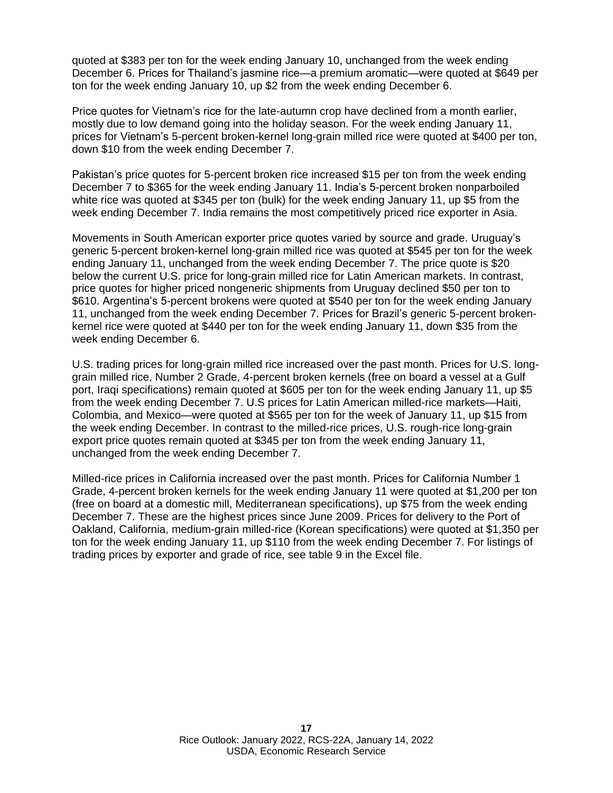quoted at \$383 per ton for the week ending January 10, unchanged from the week ending December 6. Prices for Thailand's jasmine rice—a premium aromatic—were quoted at \$649 per ton for the week ending January 10, up \$2 from the week ending December 6.

Price quotes for Vietnam's rice for the late-autumn crop have declined from a month earlier, mostly due to low demand going into the holiday season. For the week ending January 11, prices for Vietnam's 5-percent broken-kernel long-grain milled rice were quoted at \$400 per ton, down \$10 from the week ending December 7.

Pakistan's price quotes for 5-percent broken rice increased \$15 per ton from the week ending December 7 to \$365 for the week ending January 11. India's 5-percent broken nonparboiled white rice was quoted at \$345 per ton (bulk) for the week ending January 11, up \$5 from the week ending December 7. India remains the most competitively priced rice exporter in Asia.

Movements in South American exporter price quotes varied by source and grade. Uruguay's generic 5-percent broken-kernel long-grain milled rice was quoted at \$545 per ton for the week ending January 11, unchanged from the week ending December 7. The price quote is \$20 below the current U.S. price for long-grain milled rice for Latin American markets. In contrast, price quotes for higher priced nongeneric shipments from Uruguay declined \$50 per ton to \$610. Argentina's 5-percent brokens were quoted at \$540 per ton for the week ending January 11, unchanged from the week ending December 7. Prices for Brazil's generic 5-percent brokenkernel rice were quoted at \$440 per ton for the week ending January 11, down \$35 from the week ending December 6.

U.S. trading prices for long-grain milled rice increased over the past month. Prices for U.S. longgrain milled rice, Number 2 Grade, 4-percent broken kernels (free on board a vessel at a Gulf port, Iraqi specifications) remain quoted at \$605 per ton for the week ending January 11, up \$5 from the week ending December 7. U.S prices for Latin American milled-rice markets—Haiti, Colombia, and Mexico—were quoted at \$565 per ton for the week of January 11, up \$15 from the week ending December. In contrast to the milled-rice prices, U.S. rough-rice long-grain export price quotes remain quoted at \$345 per ton from the week ending January 11, unchanged from the week ending December 7.

Milled-rice prices in California increased over the past month. Prices for California Number 1 Grade, 4-percent broken kernels for the week ending January 11 were quoted at \$1,200 per ton (free on board at a domestic mill, Mediterranean specifications), up \$75 from the week ending December 7. These are the highest prices since June 2009. Prices for delivery to the Port of Oakland, California, medium-grain milled-rice (Korean specifications) were quoted at \$1,350 per ton for the week ending January 11, up \$110 from the week ending December 7. For listings of trading prices by exporter and grade of rice, see table 9 in the Excel file.